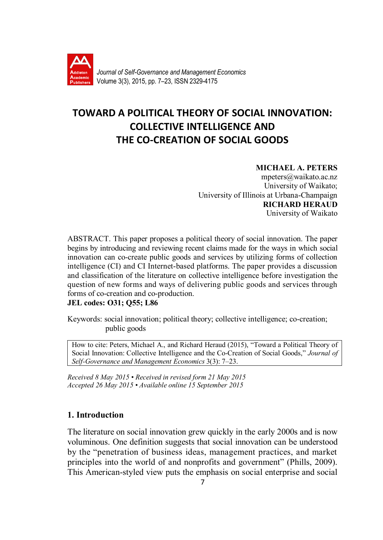

# **TOWARD A POLITICAL THEORY OF SOCIAL INNOVATION: COLLECTIVE INTELLIGENCE AND THE CO-CREATION OF SOCIAL GOODS**

## **MICHAEL A. PETERS**

mpeters@waikato.ac.nz University of Waikato; University of Illinois at Urbana-Champaign **RICHARD HERAUD** University of Waikato

ABSTRACT. This paper proposes a political theory of social innovation. The paper begins by introducing and reviewing recent claims made for the ways in which social innovation can co-create public goods and services by utilizing forms of collection intelligence (CI) and CI Internet-based platforms. The paper provides a discussion and classification of the literature on collective intelligence before investigation the question of new forms and ways of delivering public goods and services through forms of co-creation and co-production.

#### **JEL codes: O31; Q55; L86**

Keywords: social innovation; political theory; collective intelligence; co-creation; public goods

How to cite: Peters, Michael A., and Richard Heraud (2015), "Toward a Political Theory of Social Innovation: Collective Intelligence and the Co-Creation of Social Goods," *Journal of Self-Governance and Management Economics* 3(3): 7–23.

*Received 8 May 2015 • Received in revised form 21 May 2015 Accepted 26 May 2015 • Available online 15 September 2015*

## **1. Introduction**

The literature on social innovation grew quickly in the early 2000s and is now voluminous. One definition suggests that social innovation can be understood by the "penetration of business ideas, management practices, and market principles into the world of and nonprofits and government" (Phills, 2009). This American-styled view puts the emphasis on social enterprise and social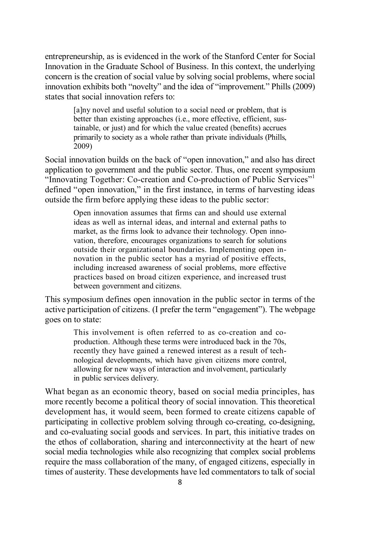entrepreneurship, as is evidenced in the work of the Stanford Center for Social Innovation in the Graduate School of Business. In this context, the underlying concern is the creation of social value by solving social problems, where social innovation exhibits both "novelty" and the idea of "improvement." Phills (2009) states that social innovation refers to:

> [a]ny novel and useful solution to a social need or problem, that is better than existing approaches (i.e., more effective, efficient, sustainable, or just) and for which the value created (benefits) accrues primarily to society as a whole rather than private individuals (Phills, 2009)

Social innovation builds on the back of "open innovation," and also has direct application to government and the public sector. Thus, one recent symposium "Innovating Together: Co-creation and Co-production of Public Services"<sup>1</sup> defined "open innovation," in the first instance, in terms of harvesting ideas outside the firm before applying these ideas to the public sector:

> Open innovation assumes that firms can and should use external ideas as well as internal ideas, and internal and external paths to market, as the firms look to advance their technology. Open innovation, therefore, encourages organizations to search for solutions outside their organizational boundaries. Implementing open innovation in the public sector has a myriad of positive effects, including increased awareness of social problems, more effective practices based on broad citizen experience, and increased trust between government and citizens.

This symposium defines open innovation in the public sector in terms of the active participation of citizens. (I prefer the term "engagement"). The webpage goes on to state:

> This involvement is often referred to as co-creation and coproduction. Although these terms were introduced back in the 70s, recently they have gained a renewed interest as a result of technological developments, which have given citizens more control, allowing for new ways of interaction and involvement, particularly in public services delivery.

What began as an economic theory, based on social media principles, has more recently become a political theory of social innovation. This theoretical development has, it would seem, been formed to create citizens capable of participating in collective problem solving through co-creating, co-designing, and co-evaluating social goods and services. In part, this initiative trades on the ethos of collaboration, sharing and interconnectivity at the heart of new social media technologies while also recognizing that complex social problems require the mass collaboration of the many, of engaged citizens, especially in times of austerity. These developments have led commentators to talk of social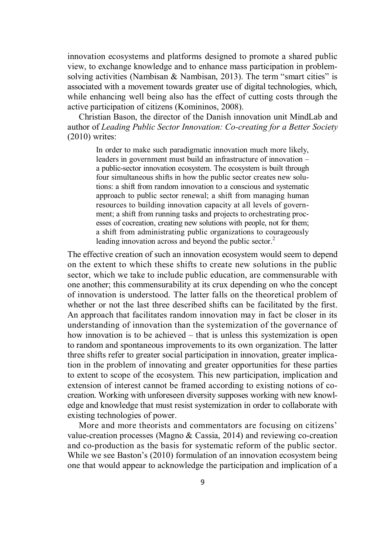innovation ecosystems and platforms designed to promote a shared public view, to exchange knowledge and to enhance mass participation in problemsolving activities (Nambisan  $\&$  Nambisan, 2013). The term "smart cities" is associated with a movement towards greater use of digital technologies, which, while enhancing well being also has the effect of cutting costs through the active participation of citizens (Komininos, 2008).

Christian Bason, the director of the Danish innovation unit MindLab and author of *Leading Public Sector Innovation: Co-creating for a Better Society*  (2010) writes:

> In order to make such paradigmatic innovation much more likely, leaders in government must build an infrastructure of innovation – a public-sector innovation ecosystem. The ecosystem is built through four simultaneous shifts in how the public sector creates new solutions: a shift from random innovation to a conscious and systematic approach to public sector renewal; a shift from managing human resources to building innovation capacity at all levels of government; a shift from running tasks and projects to orchestrating processes of cocreation, creating new solutions with people, not for them; a shift from administrating public organizations to courageously leading innovation across and beyond the public sector.<sup>2</sup>

The effective creation of such an innovation ecosystem would seem to depend on the extent to which these shifts to create new solutions in the public sector, which we take to include public education, are commensurable with one another; this commensurability at its crux depending on who the concept of innovation is understood. The latter falls on the theoretical problem of whether or not the last three described shifts can be facilitated by the first. An approach that facilitates random innovation may in fact be closer in its understanding of innovation than the systemization of the governance of how innovation is to be achieved – that is unless this systemization is open to random and spontaneous improvements to its own organization. The latter three shifts refer to greater social participation in innovation, greater implication in the problem of innovating and greater opportunities for these parties to extent to scope of the ecosystem. This new participation, implication and extension of interest cannot be framed according to existing notions of cocreation. Working with unforeseen diversity supposes working with new knowledge and knowledge that must resist systemization in order to collaborate with existing technologies of power.

More and more theorists and commentators are focusing on citizens' value-creation processes (Magno & Cassia, 2014) and reviewing co-creation and co-production as the basis for systematic reform of the public sector. While we see Baston's (2010) formulation of an innovation ecosystem being one that would appear to acknowledge the participation and implication of a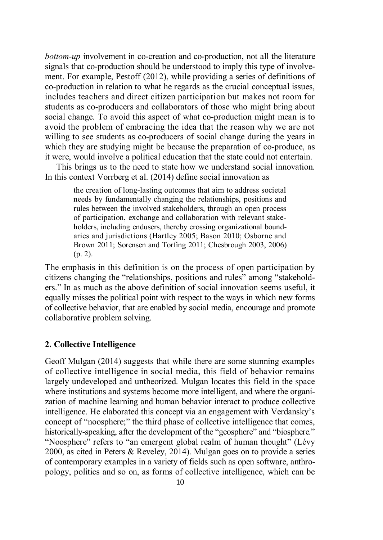*bottom-up* involvement in co-creation and co-production, not all the literature signals that co-production should be understood to imply this type of involvement. For example, Pestoff (2012), while providing a series of definitions of co-production in relation to what he regards as the crucial conceptual issues, includes teachers and direct citizen participation but makes not room for students as co-producers and collaborators of those who might bring about social change. To avoid this aspect of what co-production might mean is to avoid the problem of embracing the idea that the reason why we are not willing to see students as co-producers of social change during the years in which they are studying might be because the preparation of co-produce, as it were, would involve a political education that the state could not entertain.

This brings us to the need to state how we understand social innovation. In this context Vorrberg et al. (2014) define social innovation as

> the creation of long-lasting outcomes that aim to address societal needs by fundamentally changing the relationships, positions and rules between the involved stakeholders, through an open process of participation, exchange and collaboration with relevant stakeholders, including endusers, thereby crossing organizational boundaries and jurisdictions (Hartley 2005; Bason 2010; Osborne and Brown 2011; Sorensen and Torfing 2011; Chesbrough 2003, 2006) (p. 2).

The emphasis in this definition is on the process of open participation by citizens changing the "relationships, positions and rules" among "stakeholders." In as much as the above definition of social innovation seems useful, it equally misses the political point with respect to the ways in which new forms of collective behavior, that are enabled by social media, encourage and promote collaborative problem solving.

## **2. Collective Intelligence**

Geoff Mulgan (2014) suggests that while there are some stunning examples of collective intelligence in social media, this field of behavior remains largely undeveloped and untheorized. Mulgan locates this field in the space where institutions and systems become more intelligent, and where the organization of machine learning and human behavior interact to produce collective intelligence. He elaborated this concept via an engagement with Verdansky's concept of "noosphere;" the third phase of collective intelligence that comes, historically-speaking, after the development of the "geosphere" and "biosphere." "Noosphere" refers to "an emergent global realm of human thought" (Lévy 2000, as cited in Peters & Reveley, 2014). Mulgan goes on to provide a series of contemporary examples in a variety of fields such as open software, anthropology, politics and so on, as forms of collective intelligence, which can be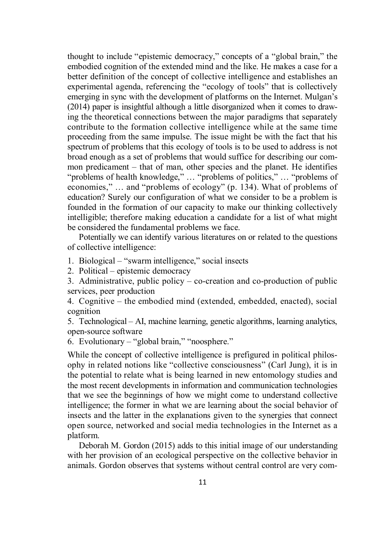thought to include "epistemic democracy," concepts of a "global brain," the embodied cognition of the extended mind and the like. He makes a case for a better definition of the concept of collective intelligence and establishes an experimental agenda, referencing the "ecology of tools" that is collectively emerging in sync with the development of platforms on the Internet. Mulgan's (2014) paper is insightful although a little disorganized when it comes to drawing the theoretical connections between the major paradigms that separately contribute to the formation collective intelligence while at the same time proceeding from the same impulse. The issue might be with the fact that his spectrum of problems that this ecology of tools is to be used to address is not broad enough as a set of problems that would suffice for describing our common predicament – that of man, other species and the planet. He identifies "problems of health knowledge," … "problems of politics," … "problems of economies," … and "problems of ecology" (p. 134). What of problems of education? Surely our configuration of what we consider to be a problem is founded in the formation of our capacity to make our thinking collectively intelligible; therefore making education a candidate for a list of what might be considered the fundamental problems we face.

Potentially we can identify various literatures on or related to the questions of collective intelligence:

1. Biological – "swarm intelligence," social insects

2. Political – epistemic democracy

3. Administrative, public policy – co-creation and co-production of public services, peer production

4. Cognitive – the embodied mind (extended, embedded, enacted), social cognition

5. Technological – AI, machine learning, genetic algorithms, learning analytics, open-source software

6. Evolutionary – "global brain," "noosphere."

While the concept of collective intelligence is prefigured in political philosophy in related notions like "collective consciousness" (Carl Jung), it is in the potential to relate what is being learned in new entomology studies and the most recent developments in information and communication technologies that we see the beginnings of how we might come to understand collective intelligence; the former in what we are learning about the social behavior of insects and the latter in the explanations given to the synergies that connect open source, networked and social media technologies in the Internet as a platform.

Deborah M. Gordon (2015) adds to this initial image of our understanding with her provision of an ecological perspective on the collective behavior in animals. Gordon observes that systems without central control are very com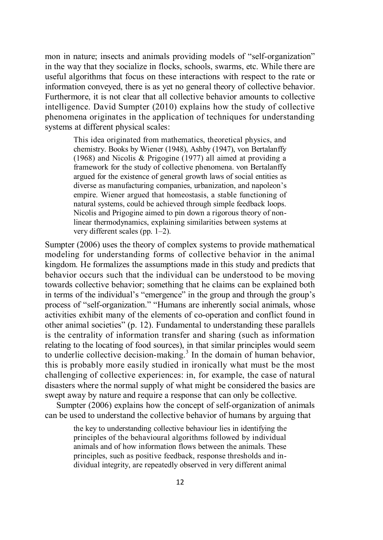mon in nature; insects and animals providing models of "self-organization" in the way that they socialize in flocks, schools, swarms, etc. While there are useful algorithms that focus on these interactions with respect to the rate or information conveyed, there is as yet no general theory of collective behavior. Furthermore, it is not clear that all collective behavior amounts to collective intelligence. David Sumpter (2010) explains how the study of collective phenomena originates in the application of techniques for understanding systems at different physical scales:

> This idea originated from mathematics, theoretical physics, and chemistry. Books by Wiener (1948), Ashby (1947), von Bertalanffy (1968) and Nicolis & Prigogine (1977) all aimed at providing a framework for the study of collective phenomena. von Bertalanffy argued for the existence of general growth laws of social entities as diverse as manufacturing companies, urbanization, and napoleon's empire. Wiener argued that homeostasis, a stable functioning of natural systems, could be achieved through simple feedback loops. Nicolis and Prigogine aimed to pin down a rigorous theory of nonlinear thermodynamics, explaining similarities between systems at very different scales (pp. 1–2).

Sumpter (2006) uses the theory of complex systems to provide mathematical modeling for understanding forms of collective behavior in the animal kingdom. He formalizes the assumptions made in this study and predicts that behavior occurs such that the individual can be understood to be moving towards collective behavior; something that he claims can be explained both in terms of the individual's "emergence" in the group and through the group's process of "self-organization." "Humans are inherently social animals, whose activities exhibit many of the elements of co-operation and conflict found in other animal societies" (p. 12). Fundamental to understanding these parallels is the centrality of information transfer and sharing (such as information relating to the locating of food sources), in that similar principles would seem to underlie collective decision-making.<sup>3</sup> In the domain of human behavior, this is probably more easily studied in ironically what must be the most challenging of collective experiences: in, for example, the case of natural disasters where the normal supply of what might be considered the basics are swept away by nature and require a response that can only be collective.

Sumpter (2006) explains how the concept of self-organization of animals can be used to understand the collective behavior of humans by arguing that

> the key to understanding collective behaviour lies in identifying the principles of the behavioural algorithms followed by individual animals and of how information flows between the animals. These principles, such as positive feedback, response thresholds and individual integrity, are repeatedly observed in very different animal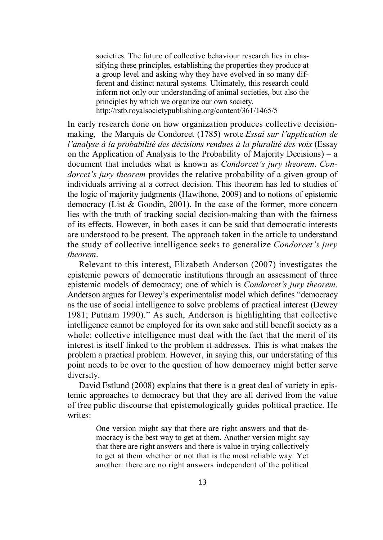societies. The future of collective behaviour research lies in classifying these principles, establishing the properties they produce at a group level and asking why they have evolved in so many different and distinct natural systems. Ultimately, this research could inform not only our understanding of animal societies, but also the principles by which we organize our own society. http://rstb.royalsocietypublishing.org/content/361/1465/5

In early research done on how organization produces collective decisionmaking, the Marquis de Condorcet (1785) wrote *Essai sur l'application de l'analyse à la probabilité des décisions rendues à la pluralité des voix* (Essay on the Application of Analysis to the Probability of Majority Decisions) – a document that includes what is known as *Condorcet's jury theorem*. *Condorcet's jury theorem* provides the relative probability of a given group of individuals arriving at a correct decision. This theorem has led to studies of the logic of majority judgments (Hawthone, 2009) and to notions of epistemic democracy (List & Goodin, 2001). In the case of the former, more concern lies with the truth of tracking social decision-making than with the fairness of its effects. However, in both cases it can be said that democratic interests are understood to be present. The approach taken in the article to understand the study of collective intelligence seeks to generalize *Condorcet's jury theorem*.

Relevant to this interest, Elizabeth Anderson (2007) investigates the epistemic powers of democratic institutions through an assessment of three epistemic models of democracy; one of which is *Condorcet's jury theorem*. Anderson argues for Dewey's experimentalist model which defines "democracy as the use of social intelligence to solve problems of practical interest (Dewey 1981; Putnam 1990)." As such, Anderson is highlighting that collective intelligence cannot be employed for its own sake and still benefit society as a whole: collective intelligence must deal with the fact that the merit of its interest is itself linked to the problem it addresses. This is what makes the problem a practical problem. However, in saying this, our understating of this point needs to be over to the question of how democracy might better serve diversity.

David Estlund (2008) explains that there is a great deal of variety in epistemic approaches to democracy but that they are all derived from the value of free public discourse that epistemologically guides political practice. He writes:

> One version might say that there are right answers and that democracy is the best way to get at them. Another version might say that there are right answers and there is value in trying collectively to get at them whether or not that is the most reliable way. Yet another: there are no right answers independent of the political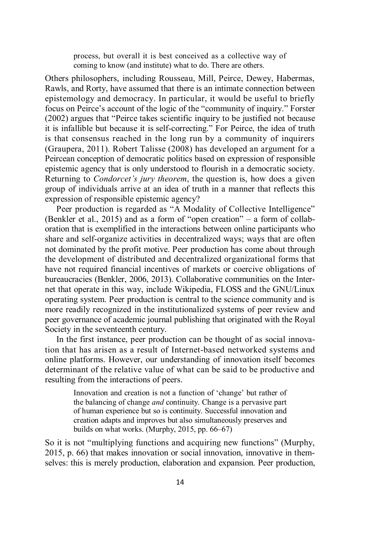process, but overall it is best conceived as a collective way of coming to know (and institute) what to do. There are others.

Others philosophers, including Rousseau, Mill, Peirce, Dewey, Habermas, Rawls, and Rorty, have assumed that there is an intimate connection between epistemology and democracy. In particular, it would be useful to briefly focus on Peirce's account of the logic of the "community of inquiry." Forster (2002) argues that "Peirce takes scientific inquiry to be justified not because it is infallible but because it is self-correcting." For Peirce, the idea of truth is that consensus reached in the long run by a community of inquirers (Graupera, 2011). Robert Talisse (2008) has developed an argument for a Peircean conception of democratic politics based on expression of responsible epistemic agency that is only understood to flourish in a democratic society. Returning to *Condorcet's jury theorem*, the question is, how does a given group of individuals arrive at an idea of truth in a manner that reflects this expression of responsible epistemic agency?

Peer production is regarded as "A Modality of Collective Intelligence" (Benkler et al., 2015) and as a form of "open creation" – a form of collaboration that is exemplified in the interactions between online participants who share and self-organize activities in decentralized ways; ways that are often not dominated by the profit motive. Peer production has come about through the development of distributed and decentralized organizational forms that have not required financial incentives of markets or coercive obligations of bureaucracies (Benkler, 2006, 2013). Collaborative communities on the Internet that operate in this way, include Wikipedia, FLOSS and the GNU/Linux operating system. Peer production is central to the science community and is more readily recognized in the institutionalized systems of peer review and peer governance of academic journal publishing that originated with the Royal Society in the seventeenth century.

In the first instance, peer production can be thought of as social innovation that has arisen as a result of Internet-based networked systems and online platforms. However, our understanding of innovation itself becomes determinant of the relative value of what can be said to be productive and resulting from the interactions of peers.

> Innovation and creation is not a function of 'change' but rather of the balancing of change *and* continuity. Change is a pervasive part of human experience but so is continuity. Successful innovation and creation adapts and improves but also simultaneously preserves and builds on what works. (Murphy, 2015, pp. 66–67)

So it is not "multiplying functions and acquiring new functions" (Murphy, 2015, p. 66) that makes innovation or social innovation, innovative in themselves: this is merely production, elaboration and expansion. Peer production,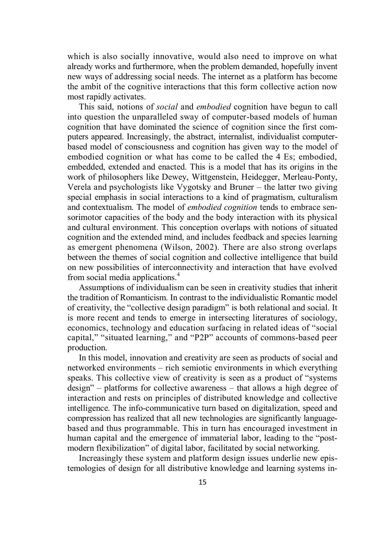which is also socially innovative, would also need to improve on what already works and furthermore, when the problem demanded, hopefully invent new ways of addressing social needs. The internet as a platform has become the ambit of the cognitive interactions that this form collective action now most rapidly activates.

This said, notions of *social* and *embodied* cognition have begun to call into question the unparalleled sway of computer-based models of human cognition that have dominated the science of cognition since the first computers appeared. Increasingly, the abstract, internalist, individualist computerbased model of consciousness and cognition has given way to the model of embodied cognition or what has come to be called the 4 Es; embodied, embedded, extended and enacted. This is a model that has its origins in the work of philosophers like Dewey, Wittgenstein, Heidegger, Merleau-Ponty, Verela and psychologists like Vygotsky and Bruner – the latter two giving special emphasis in social interactions to a kind of pragmatism, culturalism and contextualism. The model of *embodied cognition* tends to embrace sensorimotor capacities of the body and the body interaction with its physical and cultural environment. This conception overlaps with notions of situated cognition and the extended mind, and includes feedback and species learning as emergent phenomena (Wilson, 2002). There are also strong overlaps between the themes of social cognition and collective intelligence that build on new possibilities of interconnectivity and interaction that have evolved from social media applications.<sup>4</sup>

Assumptions of individualism can be seen in creativity studies that inherit the tradition of Romanticism. In contrast to the individualistic Romantic model of creativity, the "collective design paradigm" is both relational and social. It is more recent and tends to emerge in intersecting literatures of sociology, economics, technology and education surfacing in related ideas of "social capital," "situated learning," and "P2P" accounts of commons-based peer production.

In this model, innovation and creativity are seen as products of social and networked environments – rich semiotic environments in which everything speaks. This collective view of creativity is seen as a product of "systems design" – platforms for collective awareness – that allows a high degree of interaction and rests on principles of distributed knowledge and collective intelligence. The info-communicative turn based on digitalization, speed and compression has realized that all new technologies are significantly languagebased and thus programmable. This in turn has encouraged investment in human capital and the emergence of immaterial labor, leading to the "postmodern flexibilization" of digital labor, facilitated by social networking.

Increasingly these system and platform design issues underlie new epistemologies of design for all distributive knowledge and learning systems in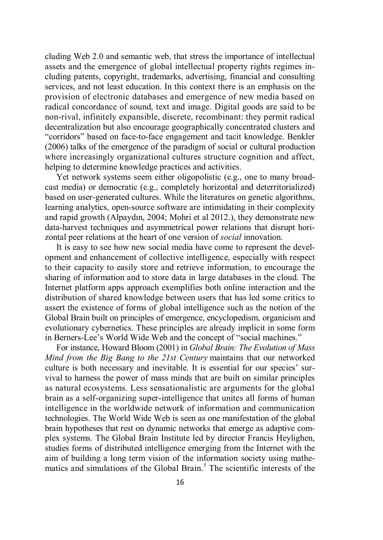cluding Web 2.0 and semantic web, that stress the importance of intellectual assets and the emergence of global intellectual property rights regimes including patents, copyright, trademarks, advertising, financial and consulting services, and not least education. In this context there is an emphasis on the provision of electronic databases and emergence of new media based on radical concordance of sound, text and image. Digital goods are said to be non-rival, infinitely expansible, discrete, recombinant: they permit radical decentralization but also encourage geographically concentrated clusters and "corridors" based on face-to-face engagement and tacit knowledge. Benkler (2006) talks of the emergence of the paradigm of social or cultural production where increasingly organizational cultures structure cognition and affect, helping to determine knowledge practices and activities.

Yet network systems seem either oligopolistic (e.g., one to many broadcast media) or democratic (e.g., completely horizontal and deterritorialized) based on user-generated cultures. While the literatures on genetic algorithms, learning analytics, open-source software are intimidating in their complexity and rapid growth (Alpaydın, 2004; Mohri et al 2012.), they demonstrate new data-harvest techniques and asymmetrical power relations that disrupt horizontal peer relations at the heart of one version of *social* innovation.

It is easy to see how new social media have come to represent the development and enhancement of collective intelligence, especially with respect to their capacity to easily store and retrieve information, to encourage the sharing of information and to store data in large databases in the cloud. The Internet platform apps approach exemplifies both online interaction and the distribution of shared knowledge between users that has led some critics to assert the existence of forms of global intelligence such as the notion of the Global Brain built on principles of emergence, encyclopedism, organicism and evolutionary cybernetics. These principles are already implicit in some form in Berners-Lee's World Wide Web and the concept of "social machines."

For instance, Howard Bloom (2001) in *Global Brain: The Evolution of Mass Mind from the Big Bang to the 21st Century* maintains that our networked culture is both necessary and inevitable. It is essential for our species' survival to harness the power of mass minds that are built on similar principles as natural ecosystems. Less sensationalistic are arguments for the global brain as a self-organizing super-intelligence that unites all forms of human intelligence in the worldwide network of information and communication technologies. The World Wide Web is seen as one manifestation of the global brain hypotheses that rest on dynamic networks that emerge as adaptive complex systems. The Global Brain Institute led by director Francis Heylighen, studies forms of distributed intelligence emerging from the Internet with the aim of building a long term vision of the information society using mathematics and simulations of the Global Brain.<sup>5</sup> The scientific interests of the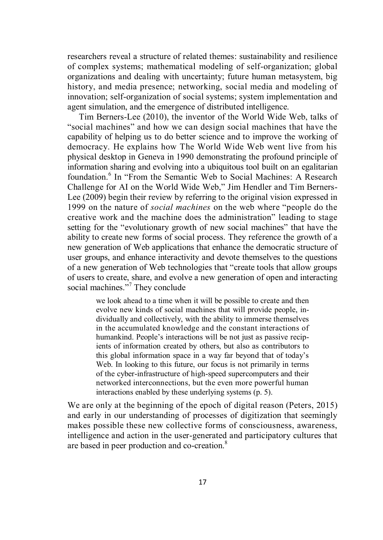researchers reveal a structure of related themes: sustainability and resilience of complex systems; mathematical modeling of self-organization; global organizations and dealing with uncertainty; future human metasystem, big history, and media presence; networking, social media and modeling of innovation; self-organization of social systems; system implementation and agent simulation, and the emergence of distributed intelligence.

Tim Berners-Lee (2010), the inventor of the World Wide Web, talks of "social machines" and how we can design social machines that have the capability of helping us to do better science and to improve the working of democracy. He explains how The World Wide Web went live from his physical desktop in Geneva in 1990 demonstrating the profound principle of information sharing and evolving into a ubiquitous tool built on an egalitarian foundation.<sup>6</sup> In "From the Semantic Web to Social Machines: A Research Challenge for AI on the World Wide Web," Jim Hendler and Tim Berners-Lee (2009) begin their review by referring to the original vision expressed in 1999 on the nature of *social machines* on the web where "people do the creative work and the machine does the administration" leading to stage setting for the "evolutionary growth of new social machines" that have the ability to create new forms of social process. They reference the growth of a new generation of Web applications that enhance the democratic structure of user groups, and enhance interactivity and devote themselves to the questions of a new generation of Web technologies that "create tools that allow groups of users to create, share, and evolve a new generation of open and interacting social machines."<sup>7</sup> They conclude

> we look ahead to a time when it will be possible to create and then evolve new kinds of social machines that will provide people, individually and collectively, with the ability to immerse themselves in the accumulated knowledge and the constant interactions of humankind. People's interactions will be not just as passive recipients of information created by others, but also as contributors to this global information space in a way far beyond that of today's Web. In looking to this future, our focus is not primarily in terms of the cyber-infrastructure of high-speed supercomputers and their networked interconnections, but the even more powerful human interactions enabled by these underlying systems (p. 5).

We are only at the beginning of the epoch of digital reason (Peters, 2015) and early in our understanding of processes of digitization that seemingly makes possible these new collective forms of consciousness, awareness, intelligence and action in the user-generated and participatory cultures that are based in peer production and co-creation.<sup>8</sup>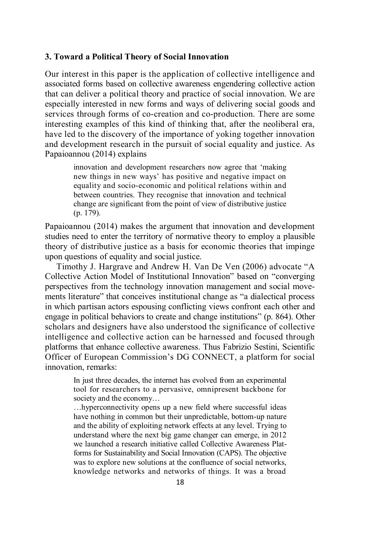#### **3. Toward a Political Theory of Social Innovation**

Our interest in this paper is the application of collective intelligence and associated forms based on collective awareness engendering collective action that can deliver a political theory and practice of social innovation. We are especially interested in new forms and ways of delivering social goods and services through forms of co-creation and co-production. There are some interesting examples of this kind of thinking that, after the neoliberal era, have led to the discovery of the importance of yoking together innovation and development research in the pursuit of social equality and justice. As Papaioannou (2014) explains

> innovation and development researchers now agree that 'making new things in new ways' has positive and negative impact on equality and socio-economic and political relations within and between countries. They recognise that innovation and technical change are significant from the point of view of distributive justice (p. 179).

Papaioannou (2014) makes the argument that innovation and development studies need to enter the territory of normative theory to employ a plausible theory of distributive justice as a basis for economic theories that impinge upon questions of equality and social justice.

Timothy J. Hargrave and Andrew H. Van De Ven (2006) advocate "A Collective Action Model of Institutional Innovation" based on "converging perspectives from the technology innovation management and social movements literature" that conceives institutional change as "a dialectical process in which partisan actors espousing conflicting views confront each other and engage in political behaviors to create and change institutions" (p. 864). Other scholars and designers have also understood the significance of collective intelligence and collective action can be harnessed and focused through platforms that enhance collective awareness. Thus Fabrizio Sestini, Scientific Officer of European Commission's DG CONNECT, a platform for social innovation, remarks:

> In just three decades, the internet has evolved from an experimental tool for researchers to a pervasive, omnipresent backbone for society and the economy…

> …hyperconnectivity opens up a new field where successful ideas have nothing in common but their unpredictable, bottom-up nature and the ability of exploiting network effects at any level. Trying to understand where the next big game changer can emerge, in 2012 we launched a research initiative called Collective Awareness Platforms for Sustainability and Social Innovation (CAPS). The objective was to explore new solutions at the confluence of social networks, knowledge networks and networks of things. It was a broad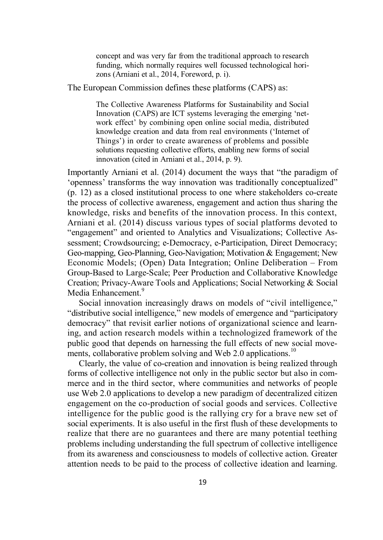concept and was very far from the traditional approach to research funding, which normally requires well focussed technological horizons (Arniani et al., 2014, Foreword, p. i).

The European Commission defines these platforms (CAPS) as:

The Collective Awareness Platforms for Sustainability and Social Innovation (CAPS) are ICT systems leveraging the emerging 'network effect' by combining open online social media, distributed knowledge creation and data from real environments ('Internet of Things') in order to create awareness of problems and possible solutions requesting collective efforts, enabling new forms of social innovation (cited in Arniani et al., 2014, p. 9).

Importantly Arniani et al. (2014) document the ways that "the paradigm of 'openness' transforms the way innovation was traditionally conceptualized" (p. 12) as a closed institutional process to one where stakeholders co-create the process of collective awareness, engagement and action thus sharing the knowledge, risks and benefits of the innovation process. In this context, Arniani et al. (2014) discuss various types of social platforms devoted to "engagement" and oriented to Analytics and Visualizations; Collective Assessment; Crowdsourcing; e-Democracy, e-Participation, Direct Democracy; Geo-mapping, Geo-Planning, Geo-Navigation; Motivation & Engagement; New Economic Models; (Open) Data Integration; Online Deliberation – From Group-Based to Large-Scale; Peer Production and Collaborative Knowledge Creation; Privacy-Aware Tools and Applications; Social Networking & Social Media Enhancement<sup>9</sup>

Social innovation increasingly draws on models of "civil intelligence," "distributive social intelligence," new models of emergence and "participatory democracy" that revisit earlier notions of organizational science and learning, and action research models within a technologized framework of the public good that depends on harnessing the full effects of new social movements, collaborative problem solving and Web 2.0 applications.<sup>10</sup>

Clearly, the value of co-creation and innovation is being realized through forms of collective intelligence not only in the public sector but also in commerce and in the third sector, where communities and networks of people use Web 2.0 applications to develop a new paradigm of decentralized citizen engagement on the co-production of social goods and services. Collective intelligence for the public good is the rallying cry for a brave new set of social experiments. It is also useful in the first flush of these developments to realize that there are no guarantees and there are many potential teething problems including understanding the full spectrum of collective intelligence from its awareness and consciousness to models of collective action. Greater attention needs to be paid to the process of collective ideation and learning.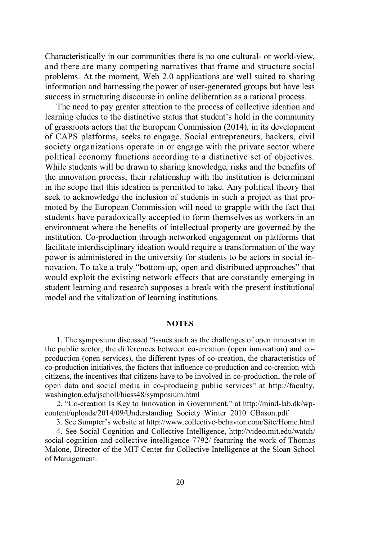Characteristically in our communities there is no one cultural- or world-view, and there are many competing narratives that frame and structure social problems. At the moment, Web 2.0 applications are well suited to sharing information and harnessing the power of user-generated groups but have less success in structuring discourse in online deliberation as a rational process.

The need to pay greater attention to the process of collective ideation and learning eludes to the distinctive status that student's hold in the community of grassroots actors that the European Commission (2014), in its development of CAPS platforms, seeks to engage. Social entrepreneurs, hackers, civil society organizations operate in or engage with the private sector where political economy functions according to a distinctive set of objectives. While students will be drawn to sharing knowledge, risks and the benefits of the innovation process, their relationship with the institution is determinant in the scope that this ideation is permitted to take. Any political theory that seek to acknowledge the inclusion of students in such a project as that promoted by the European Commission will need to grapple with the fact that students have paradoxically accepted to form themselves as workers in an environment where the benefits of intellectual property are governed by the institution. Co-production through networked engagement on platforms that facilitate interdisciplinary ideation would require a transformation of the way power is administered in the university for students to be actors in social innovation. To take a truly "bottom-up, open and distributed approaches" that would exploit the existing network effects that are constantly emerging in student learning and research supposes a break with the present institutional model and the vitalization of learning institutions.

#### **NOTES**

1. The symposium discussed "issues such as the challenges of open innovation in the public sector, the differences between co-creation (open innovation) and coproduction (open services), the different types of co-creation, the characteristics of co-production initiatives, the factors that influence co-production and co-creation with citizens, the incentives that citizens have to be involved in co-production, the role of open data and social media in co-producing public services" at http://faculty. washington.edu/jscholl/hicss48/symposium.html

2. "Co-creation Is Key to Innovation in Government," at http://mind-lab.dk/wpcontent/uploads/2014/09/Understanding\_Society\_Winter\_2010\_CBason.pdf

3. See Sumpter's website at http://www.collective-behavior.com/Site/Home.html

4. See Social Cognition and Collective Intelligence, http://video.mit.edu/watch/ social-cognition-and-collective-intelligence-7792/ featuring the work of Thomas Malone, Director of the MIT Center for Collective Intelligence at the Sloan School of Management.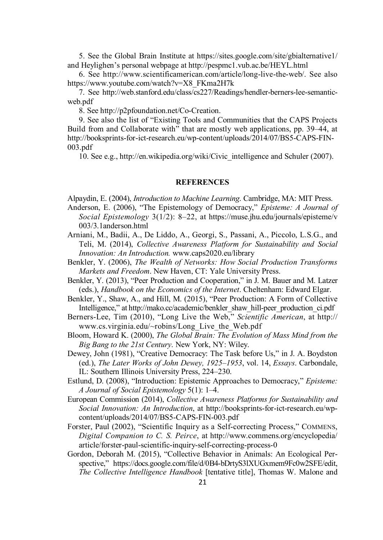5. See the Global Brain Institute at https://sites.google.com/site/gbialternative1/ and Heylighen's personal webpage at http://pespmc1.vub.ac.be/HEYL.html

6. See http://www.scientificamerican.com/article/long-live-the-web/. See also https://www.youtube.com/watch?v=X8\_FKma2H7k

7. See http://web.stanford.edu/class/cs227/Readings/hendler-berners-lee-semanticweb.pdf

8. See http://p2pfoundation.net/Co-Creation.

9. See also the list of "Existing Tools and Communities that the CAPS Projects Build from and Collaborate with" that are mostly web applications, pp. 39–44, at http://booksprints-for-ict-research.eu/wp-content/uploads/2014/07/BS5-CAPS-FIN-003.pdf

10. See e.g., http://en.wikipedia.org/wiki/Civic\_intelligence and Schuler (2007).

#### **REFERENCES**

Alpaydin, E. (2004), *Introduction to Machine Learning*. Cambridge, MA: MIT Press.

- Anderson, E. (2006), "The Epistemology of Democracy," *Episteme: A Journal of Social Epistemology* 3(1/2): 8–22, at https://muse.jhu.edu/journals/episteme/v 003/3.1anderson.html
- Arniani, M., Badii, A., De Liddo, A., Georgi, S., Passani, A., Piccolo, L.S.G., and Teli, M. (2014), *Collective Awareness Platform for Sustainability and Social Innovation: An Introduction.* www.caps2020.eu/library
- Benkler, Y. (2006), *The Wealth of Networks: How Social Production Transforms Markets and Freedom*. New Haven, CT: Yale University Press.
- Benkler, Y. (2013), "Peer Production and Cooperation," in J. M. Bauer and M. Latzer (eds.), *Handbook on the Economics of the Internet*. Cheltenham: Edward Elgar.
- Benkler, Y., Shaw, A., and Hill, M. (2015), "Peer Production: A Form of Collective Intelligence," at http://mako.cc/academic/benkler\_shaw\_hill-peer\_production\_ci.pdf
- Berners-Lee, Tim (2010), "Long Live the Web," *Scientific American*, at http:// www.cs.virginia.edu/~robins/Long\_Live\_the\_Web.pdf
- Bloom, Howard K. (2000), *The Global Brain: The Evolution of Mass Mind from the Big Bang to the 21st Century*. New York, NY: Wiley.
- Dewey, John (1981), "Creative Democracy: The Task before Us," in J. A. Boydston (ed.), *The Later Works of John Dewey, 1925–1953*, vol. 14, *Essays*. Carbondale, IL: Southern Illinois University Press, 224–230.
- Estlund, D. (2008), "Introduction: Epistemic Approaches to Democracy," *Episteme: A Journal of Social Epistemology* 5(1): 1–4.
- European Commission (2014), *Collective Awareness Platforms for Sustainability and Social Innovation: An Introduction*, at http://booksprints-for-ict-research.eu/wpcontent/uploads/2014/07/BS5-CAPS-FIN-003.pdf
- Forster, Paul (2002), "Scientific Inquiry as a Self-correcting Process," COMMENS, *Digital Companion to C. S. Peirce*, at http://www.commens.org/encyclopedia/ article/forster-paul-scientific-inquiry-self-correcting-process-0
- Gordon, Deborah M. (2015), "Collective Behavior in Animals: An Ecological Perspective," https://docs.google.com/file/d/0B4-bDrtyS3lXUGxmem9Fc0w2SFE/edit, *The Collective Intelligence Handbook* [tentative title], Thomas W. Malone and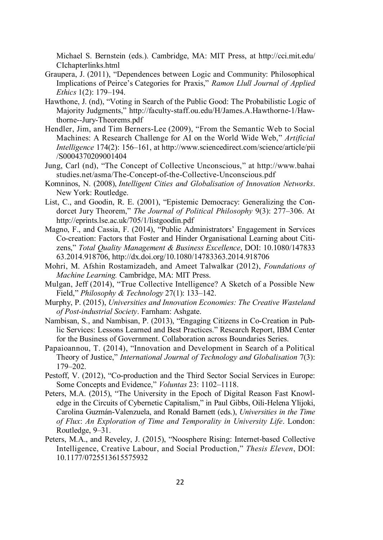Michael S. Bernstein (eds.). Cambridge, MA: MIT Press, at http://cci.mit.edu/ CIchapterlinks.html

- Graupera, J. (2011), "Dependences between Logic and Community: Philosophical Implications of Peirce's Categories for Praxis," *Ramon Llull Journal of Applied Ethics* 1(2): 179–194.
- Hawthone, J. (nd), "Voting in Search of the Public Good: The Probabilistic Logic of Majority Judgments," http://faculty-staff.ou.edu/H/James.A.Hawthorne-1/Hawthorne--Jury-Theorems.pdf
- Hendler, Jim, and Tim Berners-Lee (2009), "From the Semantic Web to Social Machines: A Research Challenge for AI on the World Wide Web," *Artificial Intelligence* 174(2): 156–161, at http://www.sciencedirect.com/science/article/pii /S0004370209001404
- Jung, Carl (nd), "The Concept of Collective Unconscious," at http://www.bahai studies.net/asma/The-Concept-of-the-Collective-Unconscious.pdf
- Komninos, N. (2008), *Intelligent Cities and Globalisation of Innovation Networks*. New York: Routledge.
- List, C., and Goodin, R. E. (2001), "Epistemic Democracy: Generalizing the Condorcet Jury Theorem," *The Journal of Political Philosophy* 9(3): 277–306. At http://eprints.lse.ac.uk/705/1/listgoodin.pdf
- Magno, F., and Cassia, F. (2014), "Public Administrators' Engagement in Services Co-creation: Factors that Foster and Hinder Organisational Learning about Citizens," *Total Quality Management & Business Excellence*, DOI: 10.1080/147833 63.2014.918706, http://dx.doi.org/10.1080/14783363.2014.918706
- Mohri, M. Afshin Rostamizadeh, and Ameet Talwalkar (2012), *Foundations of Machine Learning.* Cambridge, MA: MIT Press.
- Mulgan, Jeff (2014), "True Collective Intelligence? A Sketch of a Possible New Field," *Philosophy & Technology* 27(1): 133–142.
- Murphy, P. (2015), *Universities and Innovation Economies: The Creative Wasteland of Post-industrial Society*. Farnham: Ashgate.
- Nambisan, S., and Nambisan, P. (2013), "Engaging Citizens in Co-Creation in Public Services: Lessons Learned and Best Practices." Research Report, IBM Center for the Business of Government. Collaboration across Boundaries Series.
- Papaioannou, T. (2014), "Innovation and Development in Search of a Political Theory of Justice," *International Journal of Technology and Globalisation* 7(3): 179–202.
- Pestoff, V. (2012), "Co-production and the Third Sector Social Services in Europe: Some Concepts and Evidence," *Voluntas* 23: 1102–1118.
- Peters, M.A. (2015), "The University in the Epoch of Digital Reason Fast Knowledge in the Circuits of Cybernetic Capitalism," in Paul Gibbs, Oili-Helena Ylijoki, Carolina Guzmán-Valenzuela, and Ronald Barnett (eds.), *Universities in the Time of Flux*: *An Exploration of Time and Temporality in University Life*. London: Routledge, 9–31.
- Peters, M.A., and Reveley, J. (2015), "Noosphere Rising: Internet-based Collective Intelligence, Creative Labour, and Social Production," *Thesis Eleven*, DOI: 10.1177/0725513615575932